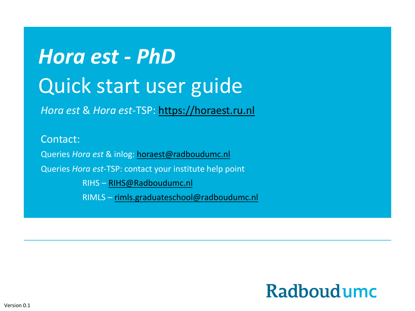# *Hora est - PhD* Quick start user guide

*Hora est* & *Hora est*-TSP: [https://horaest.ru.nl](https://horaest.ru.nl/)

Contact: Queries *Hora est* & inlog: [horaest@radboudumc.nl](mailto:horaest@radboudumc.nl) Queries *Hora est*-TSP: contact your institute help point RIHS – [RIHS@Radboudumc.nl](mailto:RIHS@Radboudumc.nl) RIMLS – [rimls.graduateschool@radboudum](mailto:Margret.Achour@Radboudumc.nl)c.nl

#### **Radboudumc**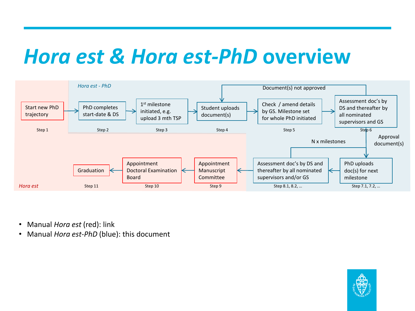#### *Hora est & Hora est-PhD* **overview**



- Manual *Hora est* (red): link
- Manual *Hora est*-*PhD* (blue): this document

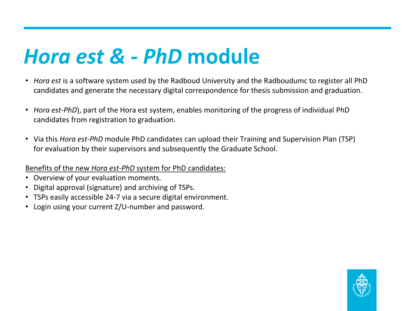#### *Hora est & - PhD* **module**

- *Hora est* is a software system used by the Radboud University and the Radboudumc to register all PhD candidates and generate the necessary digital correspondence for thesis submission and graduation.
- *Hora est-PhD*), part of the Hora est system, enables monitoring of the progress of individual PhD candidates from registration to graduation.
- Via this *Hora est-PhD* module PhD candidates can upload their Training and Supervision Plan (TSP) for evaluation by their supervisors and subsequently the Graduate School.

#### Benefits of the new *Hora est-PhD* system for PhD candidates:

- Overview of your evaluation moments.
- Digital approval (signature) and archiving of TSPs.
- TSPs easily accessible 24-7 via a secure digital environment.
- Login using your current Z/U-number and password.

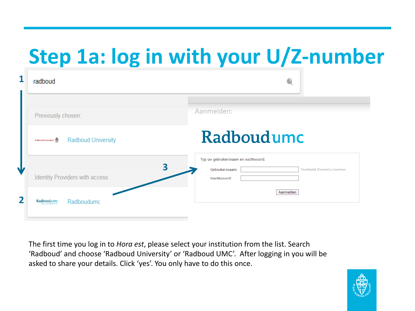## **Step 1a: log in with your U/Z-number**

| radboud                                                      | €                                                                                                         |
|--------------------------------------------------------------|-----------------------------------------------------------------------------------------------------------|
| Previously chosen:                                           | Aanmelden:                                                                                                |
| <b>Radboud University</b><br><b>Balberd Universiteit</b> (C) | Radboudumc                                                                                                |
| Identity Providers with access                               | Typ uw gebruikersnaam en wachtwoord.<br>3<br>Gebruikersnaam:<br>Voorbeeld: Domein\z-nummer<br>Wachtwoord: |
| Radboudumc<br>Radboudumc<br>during a children's              | Aanmelden                                                                                                 |

The first time you log in to *Hora est*, please select your institution from the list. Search 'Radboud' and choose 'Radboud University' or 'Radboud UMC'. After logging in you will be asked to share your details. Click 'yes'. You only have to do this once.

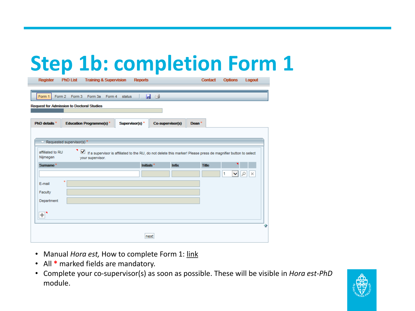#### **Step 1b: completion Form 1**

| <b>Register</b>                                  | <b>PhD List</b>           | <b>Training &amp; Supervision</b> |        | <b>Reports</b>             |                  |              | <b>Contact</b>                                                                                                        | <b>Options</b> | Logout   |
|--------------------------------------------------|---------------------------|-----------------------------------|--------|----------------------------|------------------|--------------|-----------------------------------------------------------------------------------------------------------------------|----------------|----------|
| Form 1                                           | Form 2 Form 3             | Form 3a<br>Form 4                 | status |                            | e e              |              |                                                                                                                       |                |          |
| <b>Request for Admission to Doctoral Studies</b> |                           |                                   |        |                            |                  |              |                                                                                                                       |                |          |
| PhD details *                                    |                           | <b>Education Programme(s)*</b>    |        | Supervisor(s) <sup>*</sup> | Co-supervisor(s) |              | Dean <sup>*</sup>                                                                                                     |                |          |
|                                                  | Requested supervisor(s) * |                                   |        |                            |                  |              |                                                                                                                       |                |          |
| affiliated to RU<br>Nijmegen                     | м.                        | your supervisor.                  |        |                            |                  |              | $\Box$ If a supervisor is affiliated to the RU, do not delete this marker! Please press de magnifier button to select |                |          |
| Surname <sup>*</sup>                             |                           |                                   |        | Initials <sup>*</sup>      |                  | <b>Infix</b> | <b>Title</b>                                                                                                          |                |          |
| E-mail                                           | $\star$                   |                                   |        |                            |                  |              |                                                                                                                       | ◡<br>1         | Ω<br>Iх. |
| Faculty                                          |                           |                                   |        |                            |                  |              |                                                                                                                       |                |          |
| Department                                       |                           |                                   |        |                            |                  |              |                                                                                                                       |                |          |
| $+ $                                             |                           |                                   |        |                            |                  |              |                                                                                                                       |                |          |
|                                                  |                           |                                   |        |                            | next             |              |                                                                                                                       |                | ⇑        |

- Manual *Hora est*, How to complete Form 1: [link](https://www.radboudumc.nl/Research/Documents/Registration_website.pdf)
- All **\*** marked fields are mandatory.
- Complete your co-supervisor(s) as soon as possible. These will be visible in *Hora est*-*PhD* module.

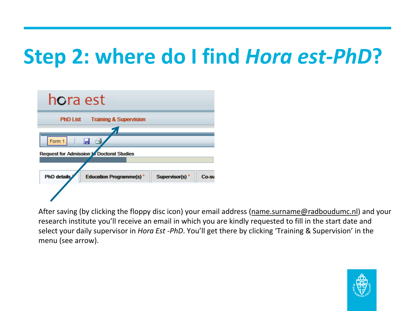#### **Step 2: where do I find** *Hora est-PhD***?**

| hora est                                             |                            |       |
|------------------------------------------------------|----------------------------|-------|
| <b>PhD List</b><br><b>Training &amp; Supervision</b> |                            |       |
|                                                      |                            |       |
| Form 1                                               |                            |       |
| <b>Request for Admission to Doctoral Studies</b>     |                            |       |
|                                                      |                            |       |
|                                                      |                            |       |
| <b>PhD</b> details<br><b>Education Programme(s)*</b> | Supervisor(s) <sup>*</sup> | Co-su |
|                                                      |                            |       |

After saving (by clicking the floppy disc icon) your email address [\(name.surname@radboudumc.nl\)](mailto:name.surname@radboudumc.nl) and your research institute you'll receive an email in which you are kindly requested to fill in the start date and select your daily supervisor in *Hora Est -PhD*. You'll get there by clicking 'Training & Supervision' in the menu (see arrow).

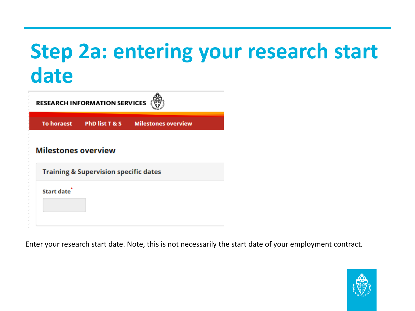#### **Step 2a: entering your research start date**

| <b>RESEARCH INFORMATION SERVICES</b>             |                           |                            |  |  |  |
|--------------------------------------------------|---------------------------|----------------------------|--|--|--|
|                                                  | To horaest PhD list T & S | <b>Milestones overview</b> |  |  |  |
| <b>Milestones overview</b>                       |                           |                            |  |  |  |
| <b>Training &amp; Supervision specific dates</b> |                           |                            |  |  |  |
| Start date                                       |                           |                            |  |  |  |

Enter your research start date. Note, this is not necessarily the start date of your employment contract.

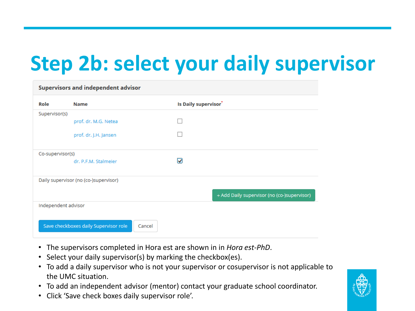#### **Step 2b: select your daily supervisor**

| <b>Supervisors and independent advisor</b> |                                                 |                                             |  |  |  |  |
|--------------------------------------------|-------------------------------------------------|---------------------------------------------|--|--|--|--|
| Role                                       | <b>Name</b>                                     | Is Daily supervisor <sup>*</sup>            |  |  |  |  |
| Supervisor(s)                              |                                                 |                                             |  |  |  |  |
|                                            | prof. dr. M.G. Netea                            |                                             |  |  |  |  |
|                                            | prof. dr. J.H. Jansen                           |                                             |  |  |  |  |
| Co-supervisor(s)                           |                                                 |                                             |  |  |  |  |
|                                            | dr. P.F.M. Stalmeier                            | $\overline{\mathbf{y}}$                     |  |  |  |  |
| Daily supervisor (no (co-)supervisor)      |                                                 |                                             |  |  |  |  |
|                                            |                                                 | + Add Daily supervisor (no (co-)supervisor) |  |  |  |  |
| Independent advisor                        |                                                 |                                             |  |  |  |  |
|                                            |                                                 |                                             |  |  |  |  |
|                                            | Save checkboxes daily Supervisor role<br>Cancel |                                             |  |  |  |  |

- The supervisors completed in Hora est are shown in in *Hora est-PhD*.
- Select your daily supervisor(s) by marking the checkbox(es).
- To add a daily supervisor who is not your supervisor or cosupervisor is not applicable to the UMC situation.
- To add an independent advisor (mentor) contact your graduate school coordinator.
- Click 'Save check boxes daily supervisor role'.

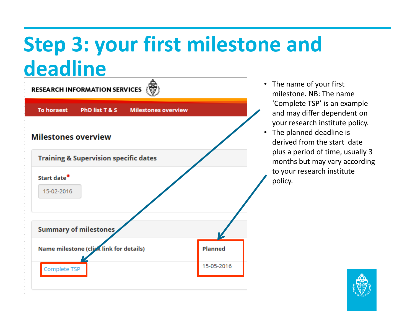#### **Step 3: your first milestone and deadline**



- The name of your first milestone. NB: The name 'Complete TSP' is an example and may differ dependent on your research institute policy.
- The planned deadline is derived from the start date plus a period of time, usually 3 months but may vary according to your research institute policy.

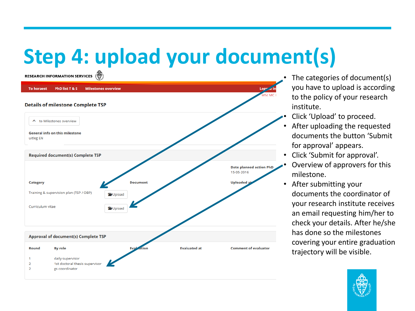## **Step 4: upload your document(s)**



- The categories of document(s) you have to upload is according to the policy of your research institute.
- Click 'Upload' to proceed.
- After uploading the requested documents the button 'Submit for approval' appears.
- Click 'Submit for approval'.
- Overview of approvers for this milestone.
- After submitting your documents the coordinator of your research institute receives an email requesting him/her to check your details. After he/she has done so the milestones covering your entire graduation trajectory will be visible.

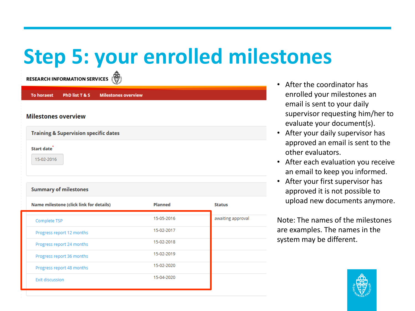#### **Step 5: your enrolled milestones**

RESEARCH INFORMATION SERVICES (

| <b>To horaest</b>                                |                                         | PhD list T & S Milestones overview |                |                   |  |  |  |
|--------------------------------------------------|-----------------------------------------|------------------------------------|----------------|-------------------|--|--|--|
| <b>Milestones overview</b>                       |                                         |                                    |                |                   |  |  |  |
| <b>Training &amp; Supervision specific dates</b> |                                         |                                    |                |                   |  |  |  |
| Start date<br>15-02-2016                         |                                         |                                    |                |                   |  |  |  |
|                                                  | <b>Summary of milestones</b>            |                                    |                |                   |  |  |  |
|                                                  | Name milestone (click link for details) |                                    | <b>Planned</b> | <b>Status</b>     |  |  |  |
| Complete TSP                                     |                                         |                                    | 15-05-2016     | awaiting approval |  |  |  |
|                                                  | Progress report 12 months               |                                    | 15-02-2017     |                   |  |  |  |
|                                                  | Progress report 24 months               |                                    | 15-02-2018     |                   |  |  |  |
|                                                  | Progress report 36 months               |                                    | 15-02-2019     |                   |  |  |  |
|                                                  | Progress report 48 months               |                                    | 15-02-2020     |                   |  |  |  |
| <b>Exit discussion</b>                           |                                         |                                    | 15-04-2020     |                   |  |  |  |

- After the coordinator has enrolled your milestones an email is sent to your daily supervisor requesting him/her to evaluate your document(s).
- After your daily supervisor has approved an email is sent to the other evaluators.
- After each evaluation you receive an email to keep you informed.
- After your first supervisor has approved it is not possible to upload new documents anymore.

Note: The names of the milestones are examples. The names in the system may be different.